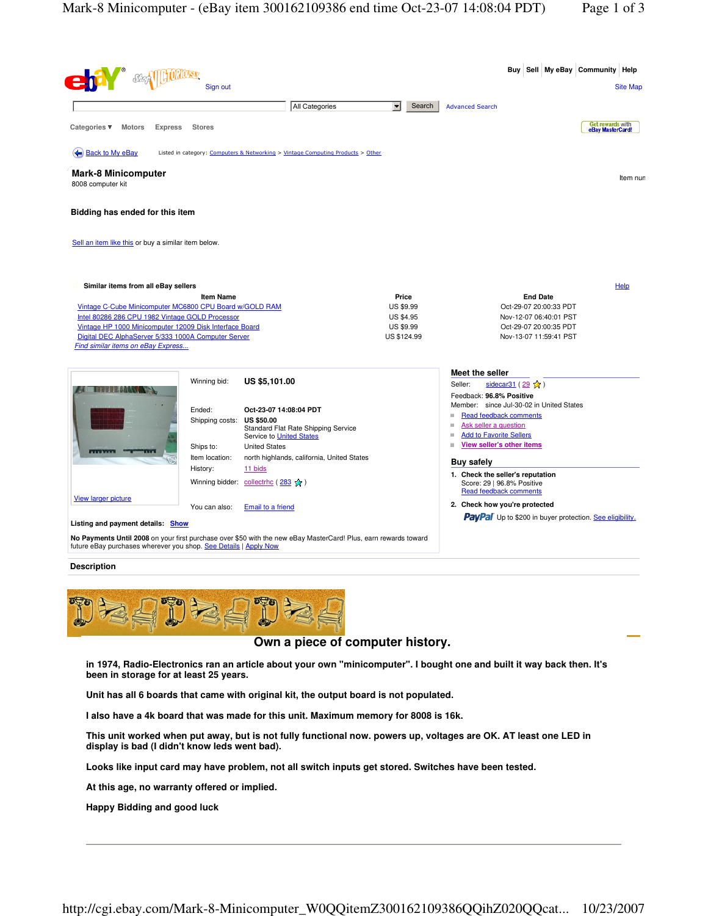| <b>Complete Strategy</b>                                                                                                                                                                                                                                                                                  |                                         |                                                                                                                       |                                                                                  |                                                                                                                                    |                                                                                                      |                 | Buy Sell My eBay Community Help                                 |                 |
|-----------------------------------------------------------------------------------------------------------------------------------------------------------------------------------------------------------------------------------------------------------------------------------------------------------|-----------------------------------------|-----------------------------------------------------------------------------------------------------------------------|----------------------------------------------------------------------------------|------------------------------------------------------------------------------------------------------------------------------------|------------------------------------------------------------------------------------------------------|-----------------|-----------------------------------------------------------------|-----------------|
|                                                                                                                                                                                                                                                                                                           | Sign out                                |                                                                                                                       |                                                                                  |                                                                                                                                    |                                                                                                      |                 |                                                                 | <b>Site Map</b> |
|                                                                                                                                                                                                                                                                                                           |                                         | All Categories                                                                                                        | $\blacktriangledown$<br>Search                                                   | <b>Advanced Search</b>                                                                                                             |                                                                                                      |                 |                                                                 |                 |
| Categories ▼<br><b>Motors</b><br><b>Express</b>                                                                                                                                                                                                                                                           | <b>Stores</b>                           |                                                                                                                       |                                                                                  |                                                                                                                                    |                                                                                                      |                 | Get rewards with<br>eBay MasterCard!                            |                 |
| Back to My eBay                                                                                                                                                                                                                                                                                           |                                         | Listed in category: Computers & Networking > Vintage Computing Products > Other                                       |                                                                                  |                                                                                                                                    |                                                                                                      |                 |                                                                 |                 |
| <b>Mark-8 Minicomputer</b><br>8008 computer kit                                                                                                                                                                                                                                                           |                                         |                                                                                                                       |                                                                                  |                                                                                                                                    |                                                                                                      |                 |                                                                 | Item nun        |
| Bidding has ended for this item                                                                                                                                                                                                                                                                           |                                         |                                                                                                                       |                                                                                  |                                                                                                                                    |                                                                                                      |                 |                                                                 |                 |
| Sell an item like this or buy a similar item below.                                                                                                                                                                                                                                                       |                                         |                                                                                                                       |                                                                                  |                                                                                                                                    |                                                                                                      |                 |                                                                 |                 |
| Similar items from all eBay sellers<br>Vintage C-Cube Minicomputer MC6800 CPU Board w/GOLD RAM<br>Intel 80286 286 CPU 1982 Vintage GOLD Processor<br>Vintage HP 1000 Minicomputer 12009 Disk Interface Board<br>Digital DEC AlphaServer 5/333 1000A Computer Server<br>Find similar items on eBay Express | <b>Item Name</b>                        |                                                                                                                       | Price<br><b>US \$9.99</b><br><b>US \$4.95</b><br><b>US \$9.99</b><br>US \$124.99 |                                                                                                                                    | Oct-29-07 20:00:33 PDT<br>Nov-12-07 06:40:01 PST<br>Oct-29-07 20:00:35 PDT<br>Nov-13-07 11:59:41 PST | <b>End Date</b> |                                                                 | Help            |
|                                                                                                                                                                                                                                                                                                           | Winning bid:                            | US \$5,101.00                                                                                                         |                                                                                  | Meet the seller<br>Seller:<br>Feedback: 96.8% Positive                                                                             | sidecar31 (29 ☆)                                                                                     |                 |                                                                 |                 |
|                                                                                                                                                                                                                                                                                                           | Ended:<br>Shipping costs:               | Oct-23-07 14:08:04 PDT<br><b>US \$50.00</b><br>Standard Flat Rate Shipping Service<br><b>Service to United States</b> |                                                                                  | Member: since Jul-30-02 in United States<br>Read feedback comments<br>Ask seller a question<br>m<br><b>Add to Favorite Sellers</b> |                                                                                                      |                 |                                                                 |                 |
|                                                                                                                                                                                                                                                                                                           | Ships to:<br>Item location:<br>History: | <b>United States</b><br>north highlands, california, United States<br>11 bids                                         |                                                                                  | View seller's other items<br><b>Buy safely</b>                                                                                     |                                                                                                      |                 |                                                                 |                 |
| <b>View larger picture</b>                                                                                                                                                                                                                                                                                | Winning bidder:                         | collectrhc ( $283 \times$ )                                                                                           |                                                                                  | 1. Check the seller's reputation<br>Score: 29   96.8% Positive<br><b>Read feedback comments</b>                                    |                                                                                                      |                 |                                                                 |                 |
| Listing and payment details: Show                                                                                                                                                                                                                                                                         | You can also:                           | <b>Email to a friend</b>                                                                                              |                                                                                  | 2. Check how you're protected                                                                                                      |                                                                                                      |                 | <b>PayPal</b> Up to \$200 in buyer protection. See eligibility. |                 |
| future eBay purchases wherever you shop. See Details   Apply Now                                                                                                                                                                                                                                          |                                         | No Payments Until 2008 on your first purchase over \$50 with the new eBay MasterCard! Plus, earn rewards toward       |                                                                                  |                                                                                                                                    |                                                                                                      |                 |                                                                 |                 |

## **Description**



## **Own a piece of computer history.**

in 1974, Radio-Electronics ran an article about your own "minicomputer". I bought one and built it way back then. It's **been in storage for at least 25 years.**

**Unit has all 6 boards that came with original kit, the output board is not populated.**

**I also have a 4k board that was made for this unit. Maximum memory for 8008 is 16k.**

This unit worked when put away, but is not fully functional now. powers up, voltages are OK. AT least one LED in **display is bad (I didn't know leds went bad).**

**Looks like input card may have problem, not all switch inputs get stored. Switches have been tested.**

**At this age, no warranty offered or implied.**

**Happy Bidding and good luck**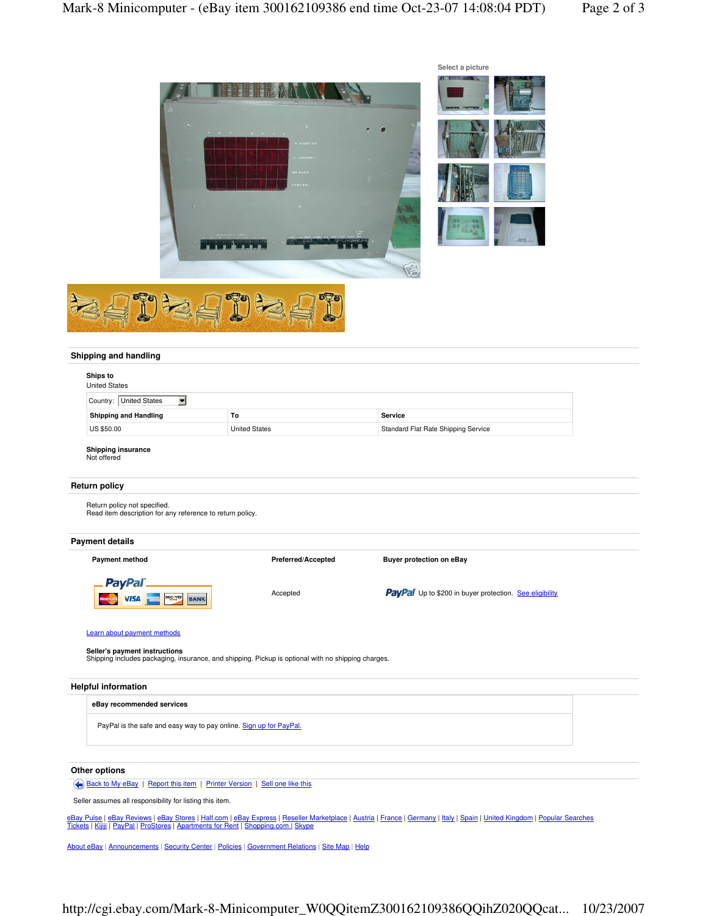

## **Shipping and handling**

| Ships to<br><b>United States</b>                                                          |                                                                                                    |                                                                |  |  |  |  |
|-------------------------------------------------------------------------------------------|----------------------------------------------------------------------------------------------------|----------------------------------------------------------------|--|--|--|--|
| $\blacksquare$<br>Country: United States                                                  |                                                                                                    |                                                                |  |  |  |  |
| <b>Shipping and Handling</b>                                                              | To                                                                                                 | Service                                                        |  |  |  |  |
| US \$50.00                                                                                | <b>United States</b>                                                                               | Standard Flat Rate Shipping Service                            |  |  |  |  |
| Shipping insurance<br>Not offered                                                         |                                                                                                    |                                                                |  |  |  |  |
| Return policy                                                                             |                                                                                                    |                                                                |  |  |  |  |
| Return policy not specified.<br>Read item description for any reference to return policy. |                                                                                                    |                                                                |  |  |  |  |
| Payment details                                                                           |                                                                                                    |                                                                |  |  |  |  |
| <b>Payment method</b>                                                                     | Preferred/Accepted<br><b>Buyer protection on eBay</b>                                              |                                                                |  |  |  |  |
| <b>PayPal</b><br><b>DISCOVER</b><br><b>BANK</b><br><b>VISA</b>                            | Accepted                                                                                           | <b>PayPal</b> Up to \$200 in buyer protection. See eligibility |  |  |  |  |
| Learn about payment methods<br>Seller's payment instructions                              | Shipping includes packaging, insurance, and shipping. Pickup is optional with no shipping charges. |                                                                |  |  |  |  |
| <b>Helpful information</b>                                                                |                                                                                                    |                                                                |  |  |  |  |
| eBay recommended services                                                                 |                                                                                                    |                                                                |  |  |  |  |
| PayPal is the safe and easy way to pay online. Sign up for PayPal.                        |                                                                                                    |                                                                |  |  |  |  |
| Other options                                                                             |                                                                                                    |                                                                |  |  |  |  |
| Back to My eBay   Report this item   Printer Version   Sell one like this                 |                                                                                                    |                                                                |  |  |  |  |

Seller assumes all responsibility for listing this item.

<u>eBay Pulse | eBay Reviews | eBay Stores | Half.com | eBay Express | Reseller Marketplace | Austria | France | Germany | Italy | Spain | United Kingdom | Popular Searches<br>Tickets | Kijiji | PayPal | ProStores | Apartments </u>

About eBay | Announcements | Security Center | Policies | Government Relations | Site Map | Help